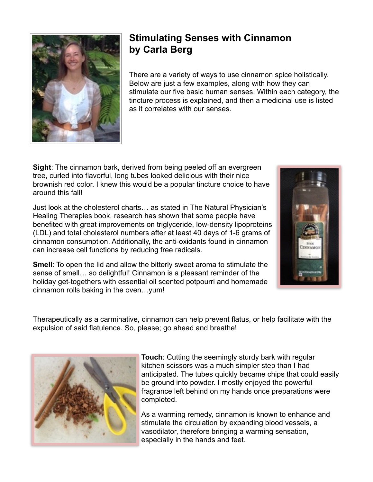

## **Stimulating Senses with Cinnamon by Carla Berg**

There are a variety of ways to use cinnamon spice holistically. Below are just a few examples, along with how they can stimulate our five basic human senses. Within each category, the tincture process is explained, and then a medicinal use is listed as it correlates with our senses.

**Sight**: The cinnamon bark, derived from being peeled off an evergreen tree, curled into flavorful, long tubes looked delicious with their nice brownish red color. I knew this would be a popular tincture choice to have around this fall!

Just look at the cholesterol charts… as stated in The Natural Physician's Healing Therapies book, research has shown that some people have benefited with great improvements on triglyceride, low-density lipoproteins (LDL) and total cholesterol numbers after at least 40 days of 1-6 grams of cinnamon consumption. Additionally, the anti-oxidants found in cinnamon can increase cell functions by reducing free radicals.





sense of smell… so delightful! Cinnamon is a pleasant reminder of the holiday get-togethers with essential oil scented potpourri and homemade cinnamon rolls baking in the oven…yum!

Therapeutically as a carminative, cinnamon can help prevent flatus, or help facilitate with the expulsion of said flatulence. So, please; go ahead and breathe!



**Touch**: Cutting the seemingly sturdy bark with regular kitchen scissors was a much simpler step than I had anticipated. The tubes quickly became chips that could easily be ground into powder. I mostly enjoyed the powerful fragrance left behind on my hands once preparations were completed.

As a warming remedy, cinnamon is known to enhance and stimulate the circulation by expanding blood vessels, a vasodilator, therefore bringing a warming sensation, especially in the hands and feet.